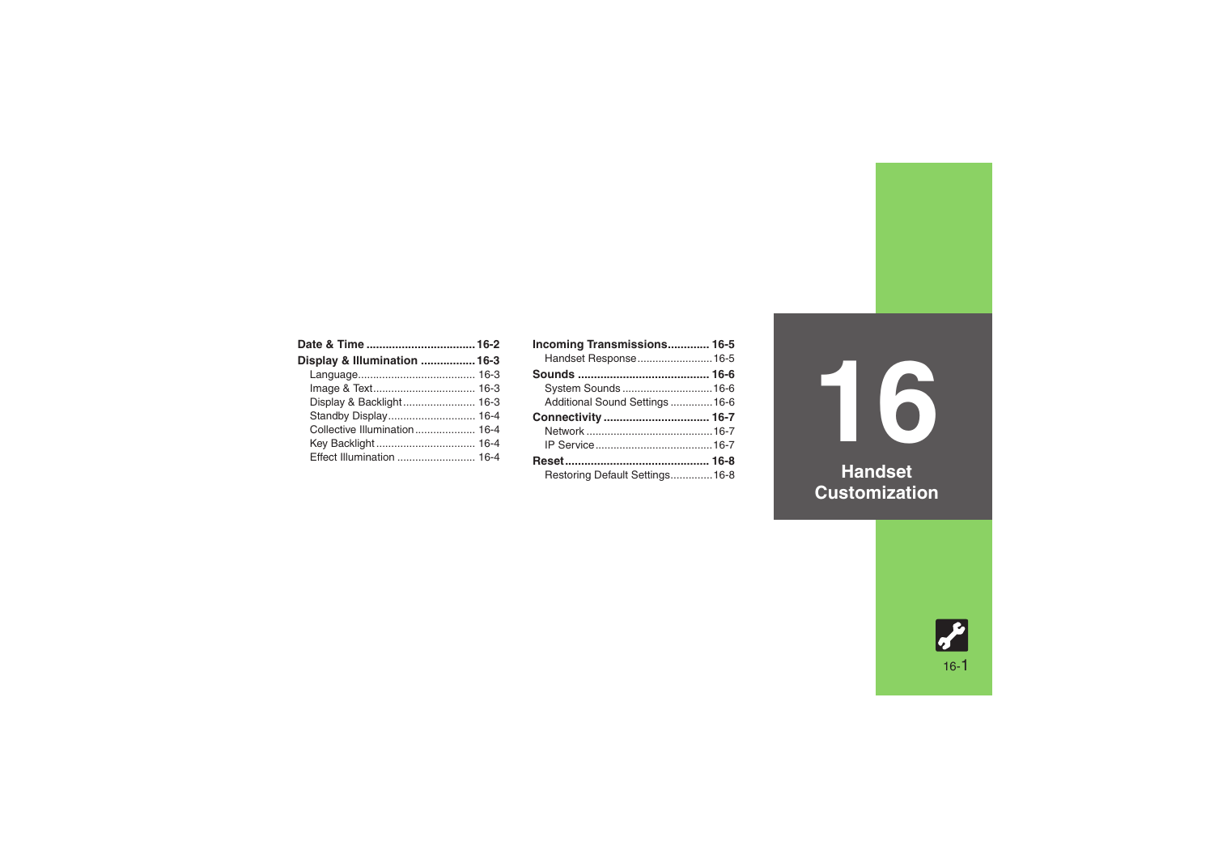| Display & Illumination  16-3 |  |
|------------------------------|--|
|                              |  |
|                              |  |
| Display & Backlight 16-3     |  |
|                              |  |
| Collective Illumination 16-4 |  |
|                              |  |
| Effect Illumination  16-4    |  |

| Incoming Transmissions 16-5     |  |
|---------------------------------|--|
| Handset Response 16-5           |  |
|                                 |  |
| System Sounds  16-6             |  |
| Additional Sound Settings  16-6 |  |
|                                 |  |
|                                 |  |
|                                 |  |
|                                 |  |
| Reset……………………………………… 16-8       |  |

**16 Handset** 

**Customization**

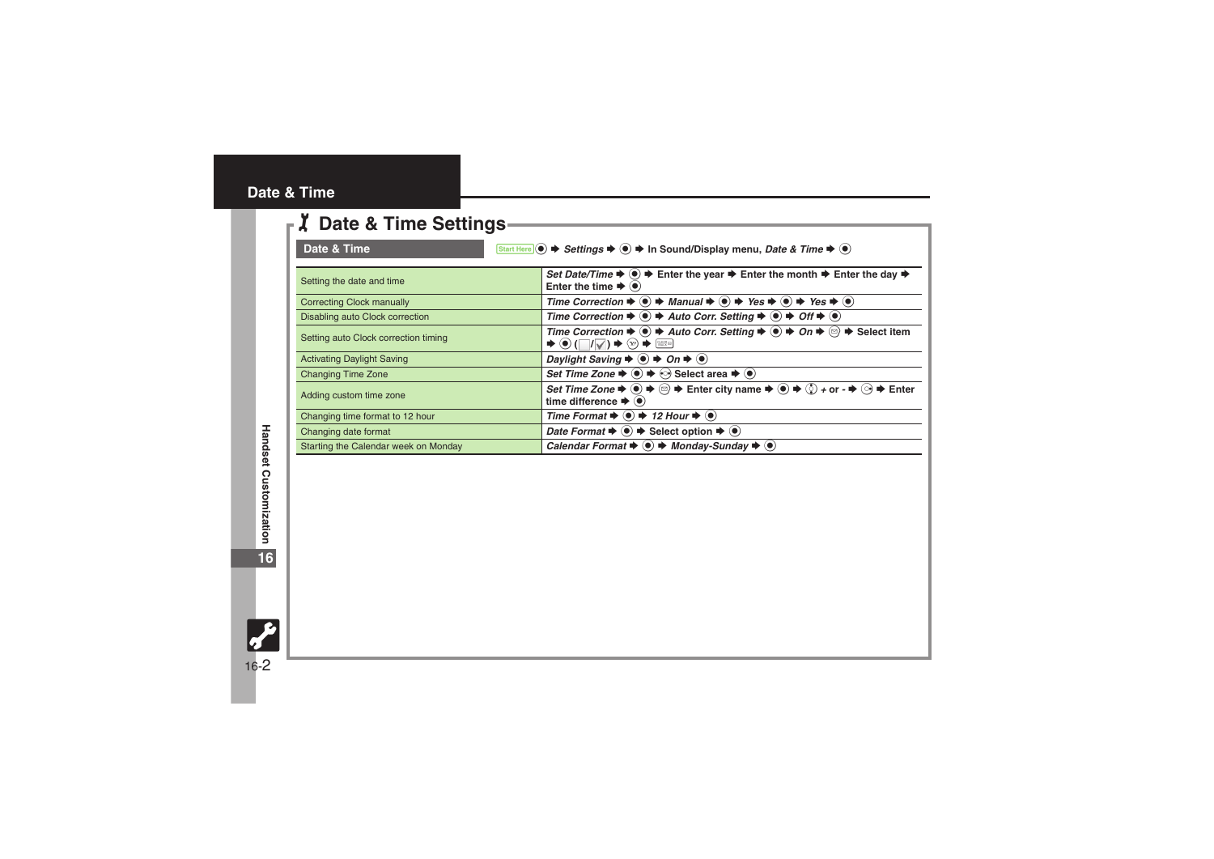## <span id="page-1-0"></span>**Date & Time**

| <b>Z</b> Date & Time Settings        |                                                                                                                                                                                                                                                                                                                                                                                            |
|--------------------------------------|--------------------------------------------------------------------------------------------------------------------------------------------------------------------------------------------------------------------------------------------------------------------------------------------------------------------------------------------------------------------------------------------|
| Date & Time                          | Start Here $\odot$ $\blacktriangleright$ Settings $\blacktriangleright$ $\odot$ $\blacktriangleright$ In Sound/Display menu, Date & Time $\blacktriangleright$ $\odot$                                                                                                                                                                                                                     |
| Setting the date and time            | Set Date/Time $\Rightarrow$ ( $\bullet$ ) $\Rightarrow$ Enter the year $\Rightarrow$ Enter the month $\Rightarrow$ Enter the day $\Rightarrow$<br>Enter the time $\blacktriangleright$ ( $\blacklozenge$ )                                                                                                                                                                                 |
| <b>Correcting Clock manually</b>     | Time Correction $\Rightarrow$ ( $\bullet$ ) $\Rightarrow$ Manual $\Rightarrow$ ( $\bullet$ ) $\Rightarrow$ Yes $\Rightarrow$ ( $\bullet$ ) $\Rightarrow$ Yes $\Rightarrow$ ( $\bullet$ )                                                                                                                                                                                                   |
| Disabling auto Clock correction      | Time Correction $\Rightarrow$ ( $\bullet$ ) $\Rightarrow$ Auto Corr. Setting $\Rightarrow$ ( $\bullet$ ) $\Rightarrow$ Off $\Rightarrow$ ( $\bullet$ )                                                                                                                                                                                                                                     |
| Setting auto Clock correction timing | Time Correction $\blacktriangleright$ ( $\blacklozenge$ ) $\blacktriangleright$ Auto Corr. Setting $\blacktriangleright$ ( $\blacklozenge$ ) $\blacktriangleright$ On $\blacktriangleright$ $\otimes$ $\blacktriangleright$ Select item<br>$\Rightarrow \textcircled{\scriptsize{*}} \ (\Box / \Box / \Diamond) \Rightarrow \textcircled{\scriptsize{*}} \ \ \textcircled{\scriptsize{*}}$ |
| <b>Activating Daylight Saving</b>    | Daylight Saving $\Rightarrow$ ( $\bullet$ ) $\Rightarrow$ On $\Rightarrow$ ( $\bullet$ )                                                                                                                                                                                                                                                                                                   |
| <b>Changing Time Zone</b>            | Set Time Zone $\Rightarrow$ $\circledast$ $\Rightarrow$ $\circledast$ Select area $\Rightarrow$ $\circledast$                                                                                                                                                                                                                                                                              |
| Adding custom time zone              | Set Time Zone $\Rightarrow$ $\circledast \Rightarrow \circledast \Rightarrow$ Enter city name $\Rightarrow$ $\circledast \Rightarrow \circledast \Rightarrow$ or $\Rightarrow \circledast \Rightarrow$ Enter<br>time difference $\blacktriangleright$ ( $\blacklozenge$ )                                                                                                                  |
| Changing time format to 12 hour      | Time Format $\Rightarrow$ ( $\bullet$ ) $\Rightarrow$ 12 Hour $\Rightarrow$ ( $\bullet$ )                                                                                                                                                                                                                                                                                                  |
| Changing date format                 | <i>Date Format</i> $\bullet$ ( $\bullet$ ) $\bullet$ Select option $\bullet$ ( $\bullet$ )                                                                                                                                                                                                                                                                                                 |
| Starting the Calendar week on Monday | Calendar Format $\Rightarrow$ ( $\bullet$ ) $\Rightarrow$ Monday-Sunday $\Rightarrow$ ( $\bullet$ )                                                                                                                                                                                                                                                                                        |

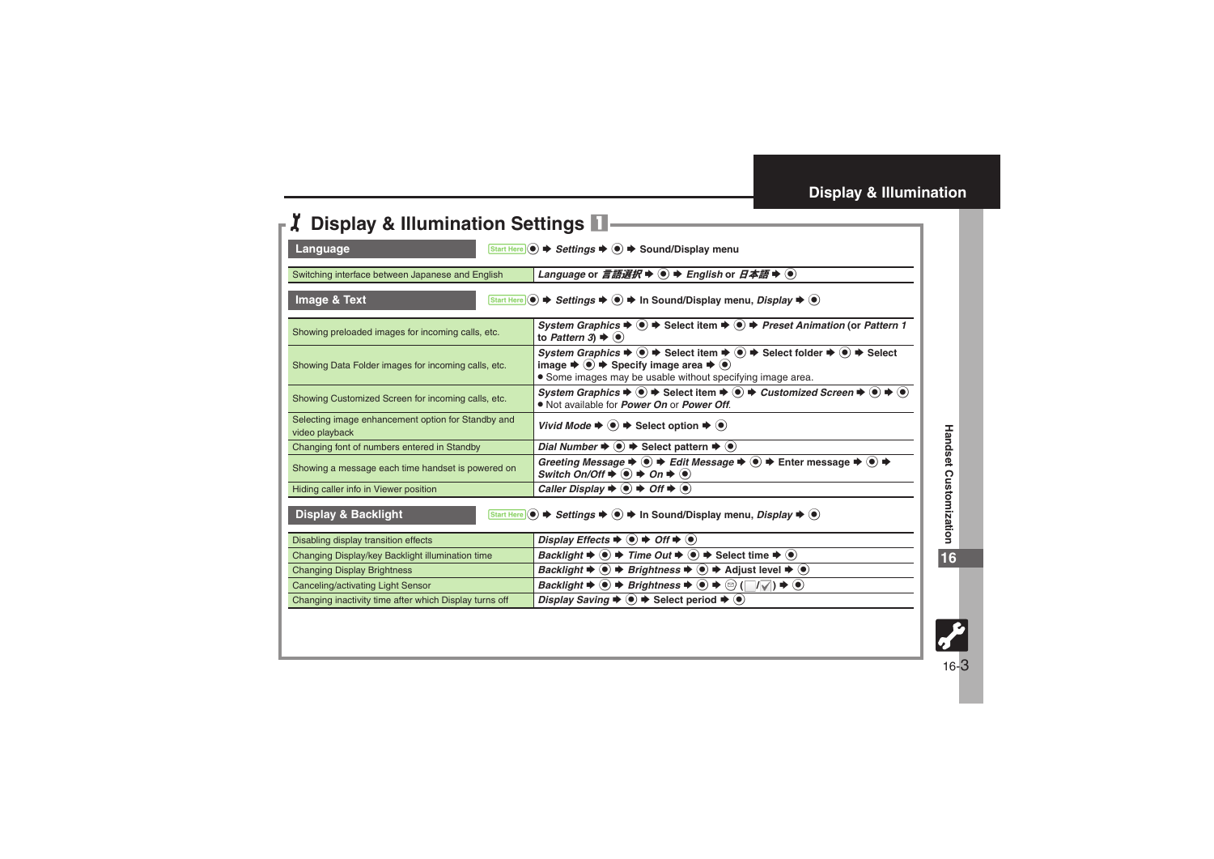<span id="page-2-3"></span><span id="page-2-2"></span><span id="page-2-1"></span>

| <b>Display &amp; Illumination Settings 1</b>                                                                                                                                   |                                                                                                                                                                                                                                                                                                                                          |
|--------------------------------------------------------------------------------------------------------------------------------------------------------------------------------|------------------------------------------------------------------------------------------------------------------------------------------------------------------------------------------------------------------------------------------------------------------------------------------------------------------------------------------|
| Language<br>Start Here $\circledcirc$ $\blacktriangleright$ Settings $\blacktriangleright$ $\circledcirc$ $\blacktriangleright$ Sound/Display menu                             |                                                                                                                                                                                                                                                                                                                                          |
| Language or <i>言語選択</i> $\rightarrow$ ( $\bullet$ ) $\rightarrow$ <i>English</i> or <i>日本語</i> $\rightarrow$ ( $\bullet$ )<br>Switching interface between Japanese and English |                                                                                                                                                                                                                                                                                                                                          |
| Image & Text                                                                                                                                                                   |                                                                                                                                                                                                                                                                                                                                          |
| Showing preloaded images for incoming calls, etc.                                                                                                                              | System Graphics $\blacktriangleright \textcircled{\scriptsize{\bullet}} \blacktriangleright$ Select item $\blacktriangleright \textcircled{\scriptsize{\bullet}} \blacktriangleright$ Preset Animation (or Pattern 1<br>to Pattern 3) $\blacktriangleright$ ( $\blacklozenge$ )                                                          |
| Showing Data Folder images for incoming calls, etc.                                                                                                                            | System Graphics $\Rightarrow$ $\circledast$ $\Rightarrow$ Select item $\Rightarrow$ $\circledast$ $\Rightarrow$ Select folder $\Rightarrow$ $\circledast$ $\Rightarrow$ Select<br>image $\Rightarrow$ $\bullet$ $\Rightarrow$ Specify image area $\Rightarrow$ $\bullet$ )<br>• Some images may be usable without specifying image area. |
| Showing Customized Screen for incoming calls, etc.                                                                                                                             | System Graphics $\Rightarrow$ $\circledast$ $\Rightarrow$ Select item $\Rightarrow$ $\circledast$ $\Rightarrow$ Customized Screen $\Rightarrow$ $\circledast$ $\Rightarrow$ $\circledast$<br>. Not available for <i>Power On</i> or <i>Power Off.</i>                                                                                    |
| Selecting image enhancement option for Standby and<br>video playback                                                                                                           | Vivid Mode $\Rightarrow$ $\bullet$ $\Rightarrow$ Select option $\Rightarrow$ $\bullet$ )                                                                                                                                                                                                                                                 |
| Changing font of numbers entered in Standby                                                                                                                                    | Dial Number $\blacktriangleright$ ( $\blacklozenge$ ) $\blacktriangleright$ Select pattern $\blacktriangleright$ ( $\blacklozenge$ )                                                                                                                                                                                                     |
| Showing a message each time handset is powered on                                                                                                                              | Greeting Message $\Rightarrow$ $\circledast$ $\Rightarrow$ Edit Message $\Rightarrow$ $\circledast$ $\Rightarrow$ Enter message $\Rightarrow$ $\circledast$ $\Rightarrow$<br>Switch On/Off $\Rightarrow$ ( $\bullet$ ) $\Rightarrow$ On $\Rightarrow$ ( $\bullet$ )                                                                      |
| Hiding caller info in Viewer position                                                                                                                                          | Caller Display $\blacktriangleright$ ( $\blacklozenge$ ) $\blacktriangleright$ Off $\blacktriangleright$ ( $\blacklozenge$ )                                                                                                                                                                                                             |
| <b>Display &amp; Backlight</b>                                                                                                                                                 | Start Here ( $\bullet$ ) $\blacktriangleright$ Settings $\blacktriangleright$ ( $\bullet$ ) $\blacktriangleright$ In Sound/Display menu, Display $\blacktriangleright$ ( $\bullet$ )                                                                                                                                                     |
| Disabling display transition effects                                                                                                                                           | Display Effects $\Rightarrow$ ( $\bullet$ ) $\Rightarrow$ Off $\Rightarrow$ ( $\bullet$ )                                                                                                                                                                                                                                                |
| Changing Display/key Backlight illumination time                                                                                                                               | <i>Backlight</i> $\blacktriangleright$ ( $\blacklozenge$ ) $\blacktriangleright$ <i>Time Out</i> $\blacktriangleright$ ( $\blacklozenge$ ) $\blacktriangleright$ Select time $\blacktriangleright$ ( $\blacklozenge$ )                                                                                                                   |
| <b>Changing Display Brightness</b>                                                                                                                                             | <i>Backlight</i> $\blacktriangleright$ ( $\blacktriangleright$ ) $\blacktriangleright$ <i>Brightness</i> $\blacktriangleright$ ( $\blacktriangleright$ ) $\blacktriangleright$ Adjust level $\blacktriangleright$ ( $\blacktriangleright$ )                                                                                              |
| Canceling/activating Light Sensor                                                                                                                                              | <i>Backlight</i> $\blacktriangleright$ ( $\blacklozenge$ ) $\blacktriangleright$ <i>Brightness</i> $\blacktriangleright$ ( $\blacklozenge$ ) $\blacktriangleright$ ( $\bowtie$ ) $\blacktriangleright$ ( $\blacklozenge$ )                                                                                                               |
| Changing inactivity time after which Display turns off                                                                                                                         | Display Saving $\blacktriangleright$ ( $\blacklozenge$ ) $\blacktriangleright$ Select period $\blacktriangleright$ ( $\blacklozenge$ )                                                                                                                                                                                                   |

<span id="page-2-0"></span>**16**



16-3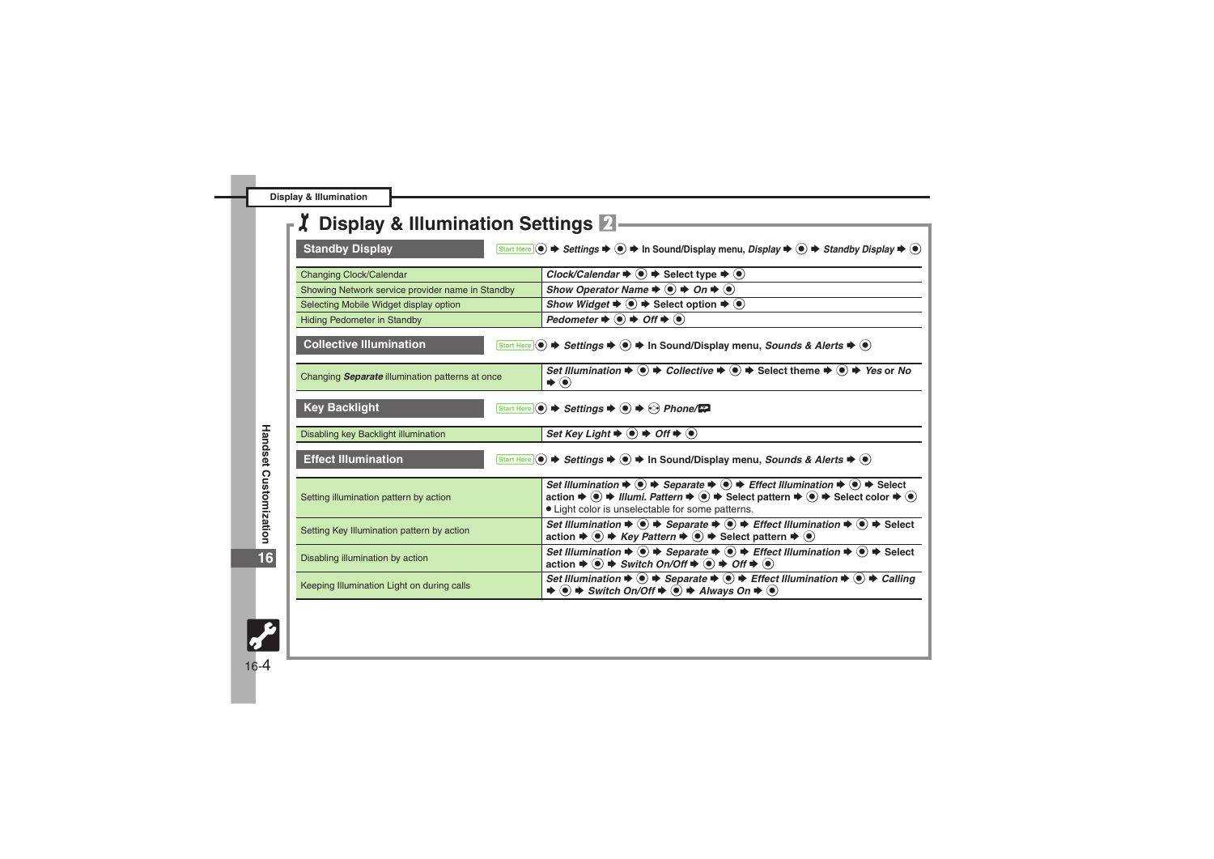**Display & Illumination**

<span id="page-3-2"></span><span id="page-3-1"></span><span id="page-3-0"></span>

| <b>Display &amp; Illumination Settings 2</b>     |                                                                                                                                                                                                                                                                                                                                                                                                                                                  |
|--------------------------------------------------|--------------------------------------------------------------------------------------------------------------------------------------------------------------------------------------------------------------------------------------------------------------------------------------------------------------------------------------------------------------------------------------------------------------------------------------------------|
| <b>Standby Display</b>                           | Start Here $(\bullet) \Rightarrow$ Settings $\Rightarrow$ $(\bullet) \Rightarrow$ In Sound/Display menu, Display $\Rightarrow$ $(\bullet) \Rightarrow$ Standby Display $\Rightarrow$ $(\bullet)$                                                                                                                                                                                                                                                 |
| Changing Clock/Calendar                          | Clock/Calendar $\blacktriangleright \textcircled{\LARGE\blacktriangleright}$ Select type $\blacktriangleright \textcircled{\LARGE\blacktriangleright}$                                                                                                                                                                                                                                                                                           |
| Showing Network service provider name in Standby | Show Operator Name $\Rightarrow$ $\circledast$ $\Rightarrow$ On $\Rightarrow$ $\circledast$                                                                                                                                                                                                                                                                                                                                                      |
| Selecting Mobile Widget display option           | Show Widget $\blacktriangleright \textcircled{\scriptsize{\bullet}} \blacktriangleright$ Select option $\blacktriangleright \textcircled{\scriptsize{\bullet}}$                                                                                                                                                                                                                                                                                  |
| <b>Hiding Pedometer in Standby</b>               | Pedometer $\Rightarrow$ ( $\bullet$ ) $\Rightarrow$ Off $\Rightarrow$ ( $\bullet$ )                                                                                                                                                                                                                                                                                                                                                              |
| <b>Collective Illumination</b>                   | Start Here $\left(\bullet\right)\Rightarrow$ Settings $\Rightarrow$ $\left(\bullet\right)\Rightarrow$ In Sound/Display menu, Sounds & Alerts $\Rightarrow$ $\left(\bullet\right)$                                                                                                                                                                                                                                                                |
| Changing Separate illumination patterns at once  | Set Illumination $\Rightarrow$ ( $\bullet$ ) $\Rightarrow$ Collective $\Rightarrow$ ( $\bullet$ ) $\Rightarrow$ Select theme $\Rightarrow$ ( $\bullet$ ) $\Rightarrow$ Yes or No<br>$\blacktriangleright$ $\odot$                                                                                                                                                                                                                                |
| <b>Key Backlight</b>                             | Start Here $\odot$ $\blacktriangleright$ Settings $\blacktriangleright$ $\odot$ $\blacktriangleright$ $\odot$ Phone/ $\blacktriangleright$                                                                                                                                                                                                                                                                                                       |
| Disabling key Backlight illumination             | Set Key Light $\Rightarrow$ $\bullet$ $\Rightarrow$ Off $\Rightarrow$ $\bullet$                                                                                                                                                                                                                                                                                                                                                                  |
| <b>Effect Illumination</b>                       | Start Here (●) → Settings → ● → In Sound/Display menu, Sounds & Alerts → ●                                                                                                                                                                                                                                                                                                                                                                       |
| Setting illumination pattern by action           | Set Illumination $\Rightarrow$ $\circledast \Rightarrow$ Separate $\Rightarrow$ $\circledast \Rightarrow$ Effect Illumination $\Rightarrow$ $\circledast \Rightarrow$ Select<br>action $\Rightarrow$ $\circledast$ $\Rightarrow$ Illumi. Pattern $\Rightarrow$ $\circledast$ $\Rightarrow$ Select pattern $\Rightarrow$ $\circledast$ $\Rightarrow$ Select color $\Rightarrow$ $\circledast$<br>• Light color is unselectable for some patterns. |
| Setting Key Illumination pattern by action       | Set Illumination $\Rightarrow$ ( $\bullet$ ) $\Rightarrow$ Separate $\Rightarrow$ ( $\bullet$ ) $\Rightarrow$ Effect Illumination $\Rightarrow$ ( $\bullet$ ) $\Rightarrow$ Select<br>action $\Rightarrow$ ( $\bullet$ ) $\Rightarrow$ Key Pattern $\Rightarrow$ ( $\bullet$ ) $\Rightarrow$ Select pattern $\Rightarrow$ ( $\bullet$ )                                                                                                          |
| Disabling illumination by action                 | Set Illumination $\Rightarrow$ $\circledast \Rightarrow$ Separate $\Rightarrow$ $\circledast \Rightarrow$ Effect Illumination $\Rightarrow$ $\circledast \Rightarrow$ Select<br>action $\Rightarrow$ ( $\bullet$ ) $\Rightarrow$ Switch On/Off $\Rightarrow$ ( $\bullet$ ) $\Rightarrow$ Off $\Rightarrow$ ( $\bullet$ )                                                                                                                         |
| Keeping Illumination Light on during calls       | Set Illumination $\Rightarrow$ ( $\bullet$ ) $\Rightarrow$ Separate $\Rightarrow$ ( $\bullet$ ) $\Rightarrow$ Effect Illumination $\Rightarrow$ ( $\bullet$ ) $\Rightarrow$ Calling<br>$\Rightarrow$ $\bullet$ $\Rightarrow$ Switch On/Off $\Rightarrow$ $\bullet$ Always On $\Rightarrow$ $\bullet$                                                                                                                                             |

<span id="page-3-3"></span>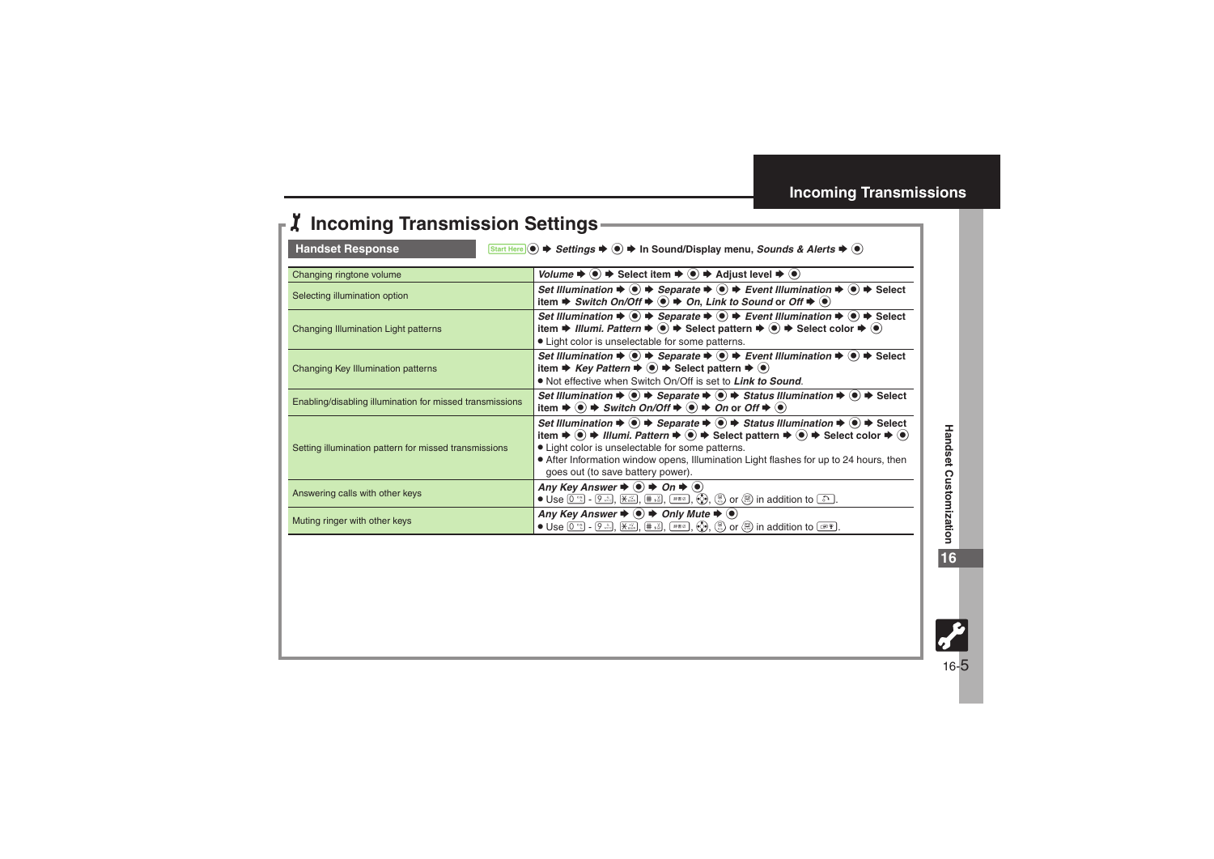## 1**Incoming Transmission Settings**

<span id="page-4-0"></span>

<span id="page-4-1"></span>Handset Response **7 Start Here i**  $\bullet$  *Settings*  $\bullet$  **i**  $\bullet$  In Sound/Display menu, *Sounds & Alerts*  $\bullet$  **.** 

| Changing ringtone volume                                 | Volume $\Rightarrow$ ( $\bullet$ ) $\Rightarrow$ Select item $\Rightarrow$ ( $\bullet$ ) $\Rightarrow$ Adjust level $\Rightarrow$ ( $\bullet$ )                                                                                                                                                                                                                                                                                                                                                                                                                                    |
|----------------------------------------------------------|------------------------------------------------------------------------------------------------------------------------------------------------------------------------------------------------------------------------------------------------------------------------------------------------------------------------------------------------------------------------------------------------------------------------------------------------------------------------------------------------------------------------------------------------------------------------------------|
| Selecting illumination option                            | Set Illumination $\Rightarrow$ ( $\bullet$ ) $\Rightarrow$ Separate $\Rightarrow$ ( $\bullet$ ) $\Rightarrow$ Event Illumination $\Rightarrow$ ( $\bullet$ ) $\Rightarrow$ Select<br>item $\Rightarrow$ Switch On/Off $\Rightarrow$ ( $\bullet$ ) $\Rightarrow$ On, Link to Sound or Off $\Rightarrow$ ( $\bullet$ )                                                                                                                                                                                                                                                               |
| Changing Illumination Light patterns                     | Set Illumination $\Rightarrow$ ( $\bullet$ ) $\Rightarrow$ Separate $\Rightarrow$ ( $\bullet$ ) $\Rightarrow$ Event Illumination $\Rightarrow$ ( $\bullet$ ) $\Rightarrow$ Select<br>item $\Rightarrow$ Illumi. Pattern $\Rightarrow$ $\circledast$ $\Rightarrow$ Select pattern $\Rightarrow$ $\circledast$ $\Rightarrow$ Select color $\Rightarrow$ $\circledast$<br>• Light color is unselectable for some patterns.                                                                                                                                                            |
| Changing Key Illumination patterns                       | Set Illumination $\Rightarrow$ ( $\bullet$ ) $\Rightarrow$ Separate $\Rightarrow$ ( $\bullet$ ) $\Rightarrow$ Event Illumination $\Rightarrow$ ( $\bullet$ ) $\Rightarrow$ Select<br>item $\Rightarrow$ Key Pattern $\Rightarrow$ ( $\bullet$ ) $\Rightarrow$ Select pattern $\Rightarrow$ ( $\bullet$ )<br>• Not effective when Switch On/Off is set to Link to Sound.                                                                                                                                                                                                            |
| Enabling/disabling illumination for missed transmissions | Set Illumination $\Rightarrow$ $\circledast \Rightarrow$ Separate $\Rightarrow$ $\circledast \Rightarrow$ Status Illumination $\Rightarrow$ $\circledast \Rightarrow$ Select<br>item $\Rightarrow$ ( $\bullet$ ) $\Rightarrow$ Switch On/Off $\Rightarrow$ ( $\bullet$ ) $\Rightarrow$ On or Off $\Rightarrow$ ( $\bullet$ )                                                                                                                                                                                                                                                       |
| Setting illumination pattern for missed transmissions    | Set Illumination $\Rightarrow$ ( $\bullet$ ) $\Rightarrow$ Separate $\Rightarrow$ ( $\bullet$ ) $\Rightarrow$ Status Illumination $\Rightarrow$ ( $\bullet$ ) $\Rightarrow$ Select<br>item $\Rightarrow$ ( $\bullet$ ) $\Rightarrow$ Illumi. Pattern $\Rightarrow$ ( $\bullet$ ) $\Rightarrow$ Select pattern $\Rightarrow$ ( $\bullet$ ) $\Rightarrow$ Select color $\Rightarrow$ ( $\bullet$ )<br>• Light color is unselectable for some patterns.<br>• After Information window opens, Illumination Light flashes for up to 24 hours, then<br>goes out (to save battery power). |
| Answering calls with other keys                          | Any Key Answer $\Rightarrow$ ( $\bullet$ ) $\Rightarrow$ On $\Rightarrow$ ( $\bullet$ )<br>• Use $[0^{\frac{5\kappa}{2}}]$ - $[9^{\frac{\kappa}{2\kappa\alpha}}]$ , $[\frac{\kappa}{2}^{\frac{\kappa}{2\kappa\alpha}}]$ , $[\frac{\kappa}{2}, \frac{\kappa}{2}]$ , $(\frac{\kappa}{2})$ , $(\frac{\kappa}{2})$ or $(\frac{\kappa}{2})$ in addition to $\frac{\kappa}{2}$ .                                                                                                                                                                                                         |
| Muting ringer with other keys                            | Any Key Answer $\Rightarrow$ $\bullet$ $\Rightarrow$ Only Mute $\Rightarrow$ $\bullet$<br>$\bullet$ Use $[0^{\circ\kappa}]$ - $[9^{\circ\kappa}]$ , $[\frac{\chi\chi\chi}{\chi\chi\chi\chi\chi}]$ , $[\frac{\pi\chi\chi}{\chi\chi\chi\chi\chi\chi\chi\chi\chi\chi\chi\rho}$ , $(\frac{\phi}{\chi\chi})$ , $(\frac{\phi}{\chi\chi})$ or $(\frac{\phi}{\chi\chi\chi})$ in addition to $\frac{\phi}{\chi\chi\chi\chi\chi\chi\chi\chi\chi\chi\chi\chi\chi\chi\chi\rho}$ .                                                                                                              |

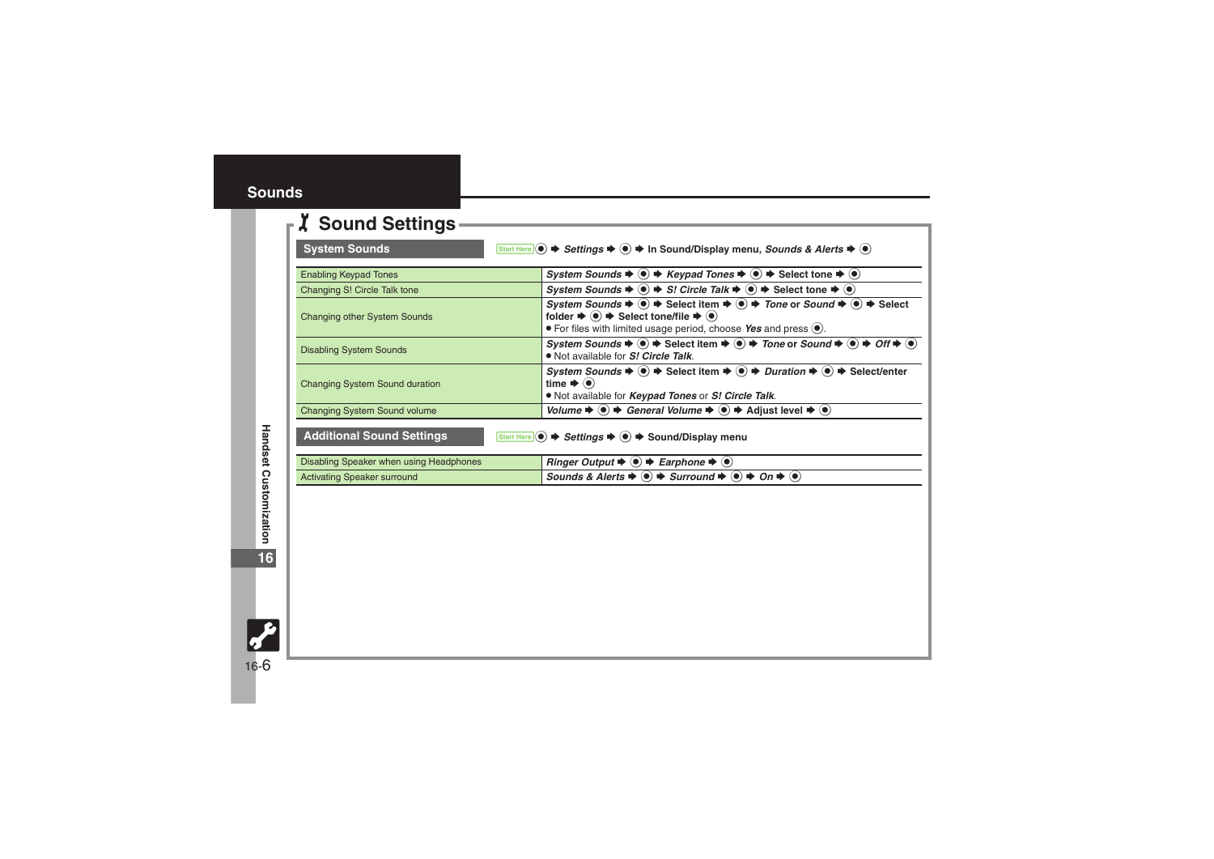## <span id="page-5-0"></span>1**Sound Settings**

<span id="page-5-1"></span>

| <b>System Sounds</b>                    | $\overline{\text{Start Here}}(\bullet) \Rightarrow$ Settings $\Rightarrow$ $\bullet) \Rightarrow$ In Sound/Display menu, Sounds & Alerts $\Rightarrow$ $\bullet)$                                                                                                                                                                                                |
|-----------------------------------------|------------------------------------------------------------------------------------------------------------------------------------------------------------------------------------------------------------------------------------------------------------------------------------------------------------------------------------------------------------------|
| <b>Enabling Keypad Tones</b>            | System Sounds $\blacklozenge$ $\blacklozenge$ $\blacklozenge$ Keypad Tones $\blacklozenge$ $\blacklozenge$ $\blacklozenge$ Select tone $\blacklozenge$ $\blacklozenge$                                                                                                                                                                                           |
| Changing S! Circle Talk tone            | System Sounds $\blacklozenge(\bullet) \blacktriangleright S!$ Circle Talk $\blacktriangleright(\bullet) \blacktriangleright$ Select tone $\blacktriangleright(\bullet)$                                                                                                                                                                                          |
| Changing other System Sounds            | System Sounds $\Rightarrow$ ( $\bullet$ ) $\Rightarrow$ Select item $\Rightarrow$ ( $\bullet$ ) $\Rightarrow$ Tone or Sound $\Rightarrow$ ( $\bullet$ ) $\Rightarrow$ Select<br>folder $\Rightarrow$ $\circledast$ $\Rightarrow$ Select tone/file $\Rightarrow$ $\circledast$<br>$\bullet$ For files with limited usage period, choose Yes and press $\bullet$ . |
| <b>Disabling System Sounds</b>          | System Sounds $\Rightarrow$ ( $\bullet$ ) $\Rightarrow$ Select item $\Rightarrow$ ( $\bullet$ ) $\Rightarrow$ Tone or Sound $\Rightarrow$ ( $\bullet$ ) $\Rightarrow$ Off $\Rightarrow$ ( $\bullet$ )<br>. Not available for S! Circle Talk.                                                                                                                     |
| <b>Changing System Sound duration</b>   | System Sounds $\Rightarrow$ ( $\bullet$ ) $\Rightarrow$ Select item $\Rightarrow$ ( $\bullet$ ) $\Rightarrow$ Duration $\Rightarrow$ ( $\bullet$ ) $\Rightarrow$ Select/enter<br>time $\blacktriangleright$ ( $\blacklozenge$ )<br>. Not available for <i>Keypad Tones</i> or S! Circle Talk.                                                                    |
| <b>Changing System Sound volume</b>     | Volume $\Rightarrow$ $\circledast$ $\Rightarrow$ General Volume $\Rightarrow$ $\circledast$ $\Rightarrow$ Adjust level $\Rightarrow$ $\circledast$                                                                                                                                                                                                               |
| <b>Additional Sound Settings</b>        | Start Here (●) → Settings → (●) → Sound/Display menu                                                                                                                                                                                                                                                                                                             |
| Disabling Speaker when using Headphones | <i>Ringer Output</i> $\blacktriangleright$ ( $\blacklozenge$ ) $\blacktriangleright$ <i>Earphone</i> $\blacktriangleright$ ( $\blacklozenge$ )                                                                                                                                                                                                                   |
| <b>Activating Speaker surround</b>      | Sounds & Alerts $\Rightarrow$ ( $\bullet$ ) $\Rightarrow$ Surround $\Rightarrow$ ( $\bullet$ ) $\Rightarrow$ On $\Rightarrow$ ( $\bullet$ )                                                                                                                                                                                                                      |

<span id="page-5-2"></span>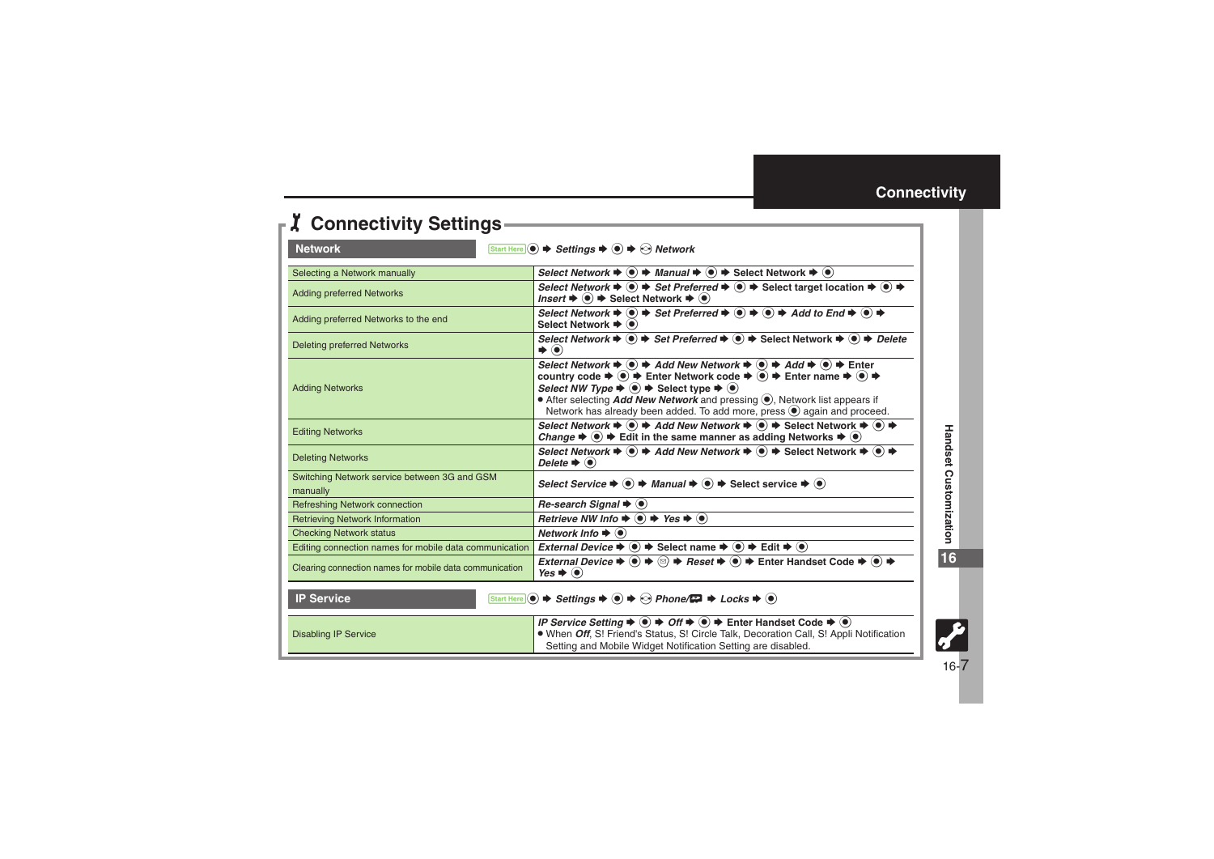<span id="page-6-2"></span><span id="page-6-1"></span>

| <b>Z</b> Connectivity Settings-                                                                                                                                                        |                                                                                                                                                                                                                                                                                                                                                                                                                                                                                                                                                                                                                                                                                                                                                                                              |
|----------------------------------------------------------------------------------------------------------------------------------------------------------------------------------------|----------------------------------------------------------------------------------------------------------------------------------------------------------------------------------------------------------------------------------------------------------------------------------------------------------------------------------------------------------------------------------------------------------------------------------------------------------------------------------------------------------------------------------------------------------------------------------------------------------------------------------------------------------------------------------------------------------------------------------------------------------------------------------------------|
| <b>Network</b><br>Start Here (●) → Settings → ● → → Network                                                                                                                            |                                                                                                                                                                                                                                                                                                                                                                                                                                                                                                                                                                                                                                                                                                                                                                                              |
| Selecting a Network manually                                                                                                                                                           | Select Network $\blacktriangleright$ $\textcircled{\scriptsize{\bullet}}$ $\blacktriangleright$ Manual $\blacktriangleright$ $\textcircled{\scriptsize{\bullet}}$ $\blacktriangleright$ Select Network $\blacktriangleright$ $\textcircled{\scriptsize{\bullet}}$                                                                                                                                                                                                                                                                                                                                                                                                                                                                                                                            |
| <b>Adding preferred Networks</b>                                                                                                                                                       | Select Network $\blacktriangleright$ ( $\blacklozenge$ ) $\blacktriangleright$ Set Preferred $\blacktriangleright$ ( $\blacklozenge$ ) $\blacktriangleright$ Select target location $\blacktriangleright$ ( $\blacklozenge$ ) $\blacktriangleright$<br>Insert $\blacklozenge \blacklozenge$ Select Network $\blacktriangleright \textcircled{\scriptsize{\bullet}}$                                                                                                                                                                                                                                                                                                                                                                                                                          |
| Adding preferred Networks to the end                                                                                                                                                   | Select Network $\Rightarrow$ $\textcircled{\ }$ $\Rightarrow$ Set Preferred $\Rightarrow$ $\textcircled{\ }$ $\Rightarrow$ $\textcircled{\ }$ $\Rightarrow$ Add to End $\Rightarrow$ $\textcircled{\ }$ $\Rightarrow$<br>Select Network $\blacklozenge$ ( $\blacklozenge$ )                                                                                                                                                                                                                                                                                                                                                                                                                                                                                                                  |
| <b>Deleting preferred Networks</b>                                                                                                                                                     | Select Network $\blacktriangleright$ ( $\blacklozenge$ ) $\blacktriangleright$ Set Preferred $\blacktriangleright$ ( $\blacklozenge$ ) $\blacktriangleright$ Select Network $\blacktriangleright$ ( $\blacklozenge$ ) $\blacktriangleright$ Delete<br>$\blacktriangleright$ $\odot$                                                                                                                                                                                                                                                                                                                                                                                                                                                                                                          |
| <b>Adding Networks</b>                                                                                                                                                                 | Select Network $\blacktriangleright \textcircled{\scriptsize{\bullet}} \blacktriangleright$ Add New Network $\blacktriangleright \textcircled{\scriptsize{\bullet}} \blacktriangleright$ Add $\blacktriangleright \textcircled{\scriptsize{\bullet}} \blacktriangleright$ Enter<br>country code $\blacktriangleright$ ( $\blacklozenge$ ) $\blacktriangleright$ Enter Network code $\blacktriangleright$ ( $\blacklozenge$ ) $\blacktriangleright$ Enter name $\blacktriangleright$ ( $\blacklozenge$ ) $\blacktriangleright$<br>Select NW Type $\Rightarrow$ $\bullet$ $\Rightarrow$ Select type $\Rightarrow$ $\bullet$ )<br>• After selecting <i>Add New Network</i> and pressing (.), Network list appears if<br>Network has already been added. To add more, press . again and proceed. |
| <b>Editing Networks</b>                                                                                                                                                                | Select Network $\Rightarrow$ ( $\bullet$ ) $\Rightarrow$ Add New Network $\Rightarrow$ ( $\bullet$ ) $\Rightarrow$ Select Network $\Rightarrow$ ( $\bullet$ ) $\Rightarrow$<br>Change $\Rightarrow$ ( $\bullet$ ) $\Rightarrow$ Edit in the same manner as adding Networks $\Rightarrow$ $\bullet$ )                                                                                                                                                                                                                                                                                                                                                                                                                                                                                         |
| <b>Deleting Networks</b>                                                                                                                                                               | Select Network $\blacktriangleright \textcircled{\tiny{\bullet}}$ $\blacktriangleright$ Add New Network $\blacktriangleright \textcircled{\tiny{\bullet}}$ $\blacktriangleright$ Select Network $\blacktriangleright \textcircled{\tiny{\bullet}}$<br>Delete $\blacktriangleright$ ( $\blacklozenge$ )                                                                                                                                                                                                                                                                                                                                                                                                                                                                                       |
| Switching Network service between 3G and GSM<br>manually                                                                                                                               | Select Service $\blacktriangleright$ ( $\blacklozenge$ ) $\blacktriangleright$ Manual $\blacktriangleright$ ( $\blacklozenge$ ) $\blacktriangleright$ Select service $\blacktriangleright$ ( $\blacklozenge$ )                                                                                                                                                                                                                                                                                                                                                                                                                                                                                                                                                                               |
| <b>Refreshing Network connection</b>                                                                                                                                                   | Re-search Signal $\blacklozenge$ ( $\blacklozenge$ )                                                                                                                                                                                                                                                                                                                                                                                                                                                                                                                                                                                                                                                                                                                                         |
| <b>Retrieving Network Information</b>                                                                                                                                                  | Retrieve NW Info $\Rightarrow$ ( $\bullet$ ) $\Rightarrow$ Yes $\Rightarrow$ ( $\bullet$ )                                                                                                                                                                                                                                                                                                                                                                                                                                                                                                                                                                                                                                                                                                   |
| <b>Checking Network status</b>                                                                                                                                                         | Network Info $\blacktriangleright$ ( $\blacklozenge$ )                                                                                                                                                                                                                                                                                                                                                                                                                                                                                                                                                                                                                                                                                                                                       |
| Editing connection names for mobile data communication                                                                                                                                 | External Device $\Rightarrow$ $\circledast$ $\Rightarrow$ Select name $\Rightarrow$ $\circledast$ $\Rightarrow$ Edit $\Rightarrow$ $\circledast$                                                                                                                                                                                                                                                                                                                                                                                                                                                                                                                                                                                                                                             |
| Clearing connection names for mobile data communication                                                                                                                                | External Device $\Rightarrow$ ( $\bullet$ ) $\Rightarrow$ ( $\circ$ ) $\Rightarrow$ Reset $\Rightarrow$ ( $\bullet$ ) $\Rightarrow$ Enter Handset Code $\Rightarrow$ ( $\bullet$ ) $\Rightarrow$<br>Yes $\blacktriangleright$ ( $\blacklozenge$ )                                                                                                                                                                                                                                                                                                                                                                                                                                                                                                                                            |
| <b>IP Service</b><br>Start Here $\circledcirc$ $\Rightarrow$ Settings $\Rightarrow$ $\circledcirc$ $\Rightarrow$ Phone/ $\Rightarrow$ $\Rightarrow$ Locks $\Rightarrow$ $\circledcirc$ |                                                                                                                                                                                                                                                                                                                                                                                                                                                                                                                                                                                                                                                                                                                                                                                              |
| <b>Disabling IP Service</b>                                                                                                                                                            | IP Service Setting $\Rightarrow$ ( $\bullet$ ) $\Rightarrow$ Off $\Rightarrow$ ( $\bullet$ ) $\Rightarrow$ Enter Handset Code $\Rightarrow$ ( $\bullet$ )<br>• When Off, S! Friend's Status, S! Circle Talk, Decoration Call, S! Appli Notification<br>Setting and Mobile Widget Notification Setting are disabled.                                                                                                                                                                                                                                                                                                                                                                                                                                                                          |

<span id="page-6-0"></span>**16**